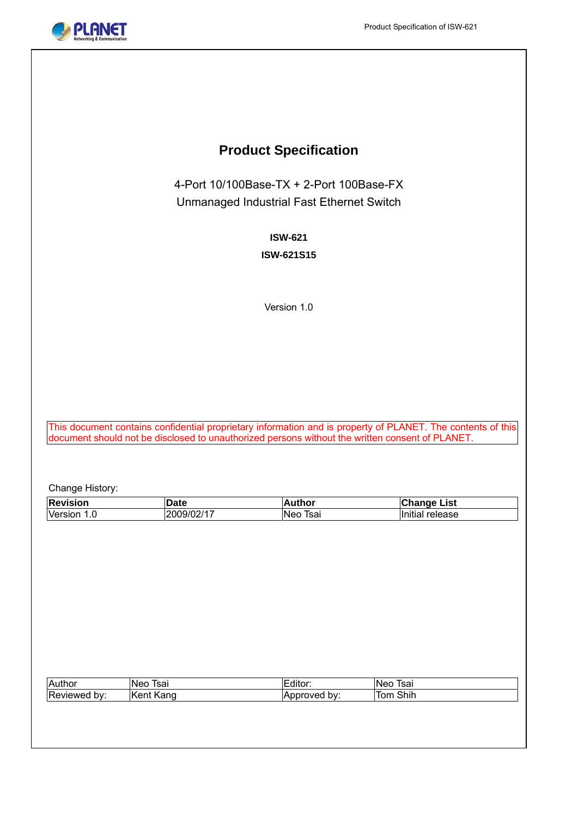

# **Product Specification**

4-Port 10/100Base-TX + 2-Port 100Base-FX Unmanaged Industrial Fast Ethernet Switch

# **ISW-621**

### **ISW-621S15**

Version 1.0

This document contains confidential proprietary information and is property of PLANET. The contents of this document should not be disclosed to unauthorized persons without the written consent of PLANET.

Change History:

| Version 1.0  | 2009/02/17 |              |                 |
|--------------|------------|--------------|-----------------|
|              |            | Neo Tsai     | Initial release |
|              |            |              |                 |
|              |            |              |                 |
|              |            |              |                 |
|              |            |              |                 |
|              |            |              |                 |
|              |            |              |                 |
|              |            |              |                 |
|              |            |              |                 |
|              |            |              |                 |
|              |            |              |                 |
|              |            |              |                 |
|              |            |              |                 |
| Author       | Neo Tsai   | Editor:      | Neo Tsai        |
| Reviewed by: | Kent Kang  | Approved by: | Tom Shih        |
|              |            |              |                 |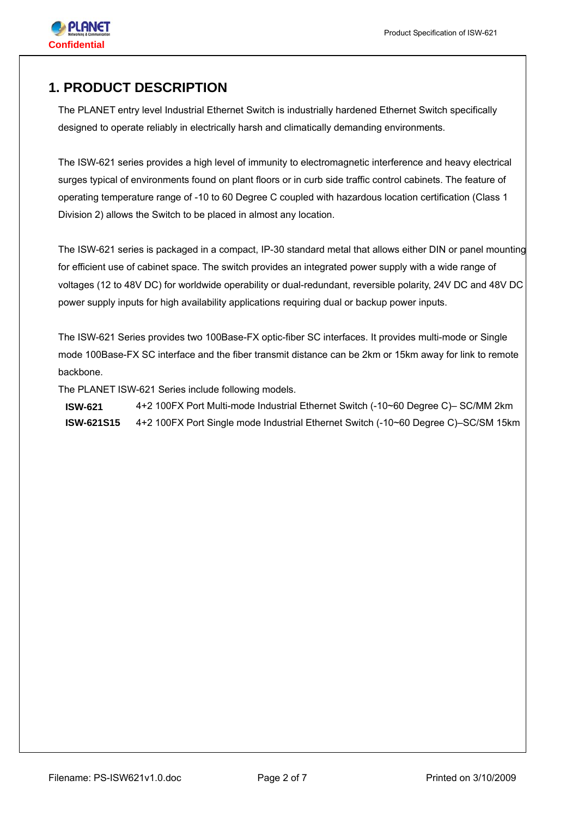

# **1. PRODUCT DESCRIPTION**

The PLANET entry level Industrial Ethernet Switch is industrially hardened Ethernet Switch specifically designed to operate reliably in electrically harsh and climatically demanding environments.

The ISW-621 series provides a high level of immunity to electromagnetic interference and heavy electrical surges typical of environments found on plant floors or in curb side traffic control cabinets. The feature of operating temperature range of -10 to 60 Degree C coupled with hazardous location certification (Class 1 Division 2) allows the Switch to be placed in almost any location.

The ISW-621 series is packaged in a compact, IP-30 standard metal that allows either DIN or panel mounting for efficient use of cabinet space. The switch provides an integrated power supply with a wide range of voltages (12 to 48V DC) for worldwide operability or dual-redundant, reversible polarity, 24V DC and 48V DC power supply inputs for high availability applications requiring dual or backup power inputs.

The ISW-621 Series provides two 100Base-FX optic-fiber SC interfaces. It provides multi-mode or Single mode 100Base-FX SC interface and the fiber transmit distance can be 2km or 15km away for link to remote backbone.

The PLANET ISW-621 Series include following models.

**ISW-621** 4+2 100FX Port Multi-mode Industrial Ethernet Switch (-10~60 Degree C)– SC/MM 2km **ISW-621S15** 4+2 100FX Port Single mode Industrial Ethernet Switch (-10~60 Degree C)–SC/SM 15km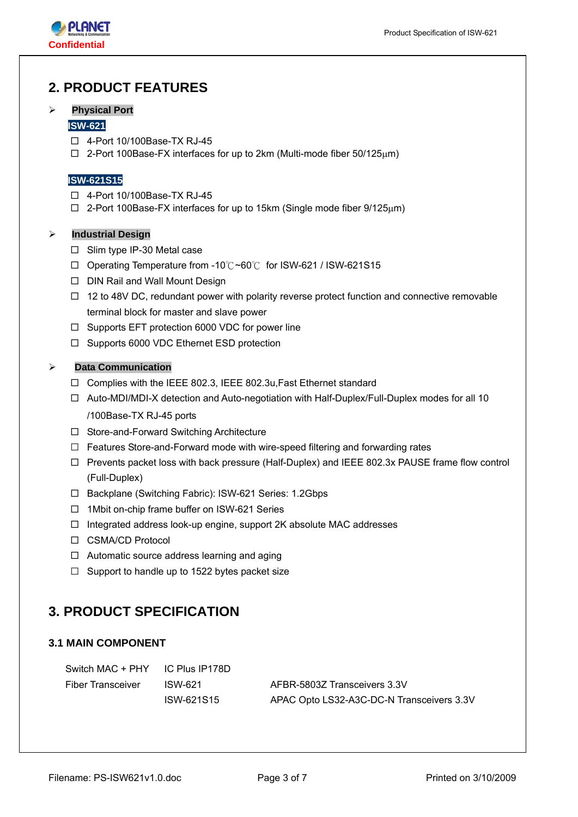

# **2. PRODUCT FEATURES**

#### ¾ **Physical Port**

#### **ISW-621**

- 4-Port 10/100Base-TX RJ-45
- 2-Port 100Base-FX interfaces for up to 2km (Multi-mode fiber 50/125μm)

#### **ISW-621S15**

- 4-Port 10/100Base-TX RJ-45
- $\Box$  2-Port 100Base-FX interfaces for up to 15km (Single mode fiber 9/125 $\mu$ m)

#### ¾ **Industrial Design**

- $\square$  Slim type IP-30 Metal case
- Operating Temperature from -10℃~60℃ for ISW-621 / ISW-621S15
- □ DIN Rail and Wall Mount Design
- $\Box$  12 to 48V DC, redundant power with polarity reverse protect function and connective removable terminal block for master and slave power
- $\Box$  Supports EFT protection 6000 VDC for power line
- $\Box$  Supports 6000 VDC Ethernet ESD protection

#### ¾ **Data Communication**

- Complies with the IEEE 802.3, IEEE 802.3u,Fast Ethernet standard
- Auto-MDI/MDI-X detection and Auto-negotiation with Half-Duplex/Full-Duplex modes for all 10 /100Base-TX RJ-45 ports
- □ Store-and-Forward Switching Architecture
- $\Box$  Features Store-and-Forward mode with wire-speed filtering and forwarding rates
- $\Box$  Prevents packet loss with back pressure (Half-Duplex) and IEEE 802.3x PAUSE frame flow control (Full-Duplex)
- □ Backplane (Switching Fabric): ISW-621 Series: 1.2Gbps
- □ 1Mbit on-chip frame buffer on ISW-621 Series
- $\Box$  Integrated address look-up engine, support 2K absolute MAC addresses
- □ CSMA/CD Protocol
- □ Automatic source address learning and aging
- $\Box$  Support to handle up to 1522 bytes packet size

# **3. PRODUCT SPECIFICATION**

### **3.1 MAIN COMPONENT**

| Switch MAC + PHY         | IC Plus IP178D |                                           |
|--------------------------|----------------|-------------------------------------------|
| <b>Fiber Transceiver</b> | ISW-621        | AFBR-5803Z Transceivers 3.3V              |
|                          | ISW-621S15     | APAC Opto LS32-A3C-DC-N Transceivers 3.3V |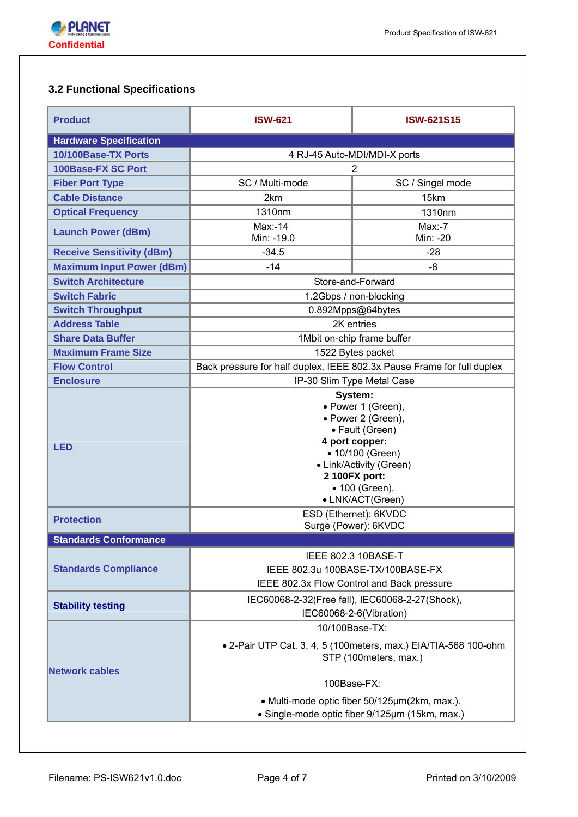

# **3.2 Functional Specifications**

| <b>Product</b>                   | <b>ISW-621</b>                                                         | <b>ISW-621S15</b>                                                                                                                                                                              |  |  |
|----------------------------------|------------------------------------------------------------------------|------------------------------------------------------------------------------------------------------------------------------------------------------------------------------------------------|--|--|
| <b>Hardware Specification</b>    |                                                                        |                                                                                                                                                                                                |  |  |
| 10/100Base-TX Ports              | 4 RJ-45 Auto-MDI/MDI-X ports                                           |                                                                                                                                                                                                |  |  |
| 100Base-FX SC Port               |                                                                        | 2                                                                                                                                                                                              |  |  |
| <b>Fiber Port Type</b>           | SC / Multi-mode                                                        | SC / Singel mode                                                                                                                                                                               |  |  |
| <b>Cable Distance</b>            | 2km                                                                    | 15km                                                                                                                                                                                           |  |  |
| <b>Optical Frequency</b>         | 1310nm                                                                 | 1310nm                                                                                                                                                                                         |  |  |
| <b>Launch Power (dBm)</b>        | $Max: -14$<br>Min: -19.0                                               | $Max-7$<br>Min: -20                                                                                                                                                                            |  |  |
| <b>Receive Sensitivity (dBm)</b> | $-34.5$                                                                | $-28$                                                                                                                                                                                          |  |  |
| <b>Maximum Input Power (dBm)</b> | $-14$                                                                  | -8                                                                                                                                                                                             |  |  |
| <b>Switch Architecture</b>       |                                                                        | Store-and-Forward                                                                                                                                                                              |  |  |
| <b>Switch Fabric</b>             |                                                                        | 1.2Gbps / non-blocking                                                                                                                                                                         |  |  |
| <b>Switch Throughput</b>         |                                                                        | 0.892Mpps@64bytes                                                                                                                                                                              |  |  |
| <b>Address Table</b>             |                                                                        | 2K entries                                                                                                                                                                                     |  |  |
| <b>Share Data Buffer</b>         |                                                                        | 1Mbit on-chip frame buffer                                                                                                                                                                     |  |  |
| <b>Maximum Frame Size</b>        |                                                                        | 1522 Bytes packet                                                                                                                                                                              |  |  |
| <b>Flow Control</b>              | Back pressure for half duplex, IEEE 802.3x Pause Frame for full duplex |                                                                                                                                                                                                |  |  |
| <b>Enclosure</b>                 |                                                                        | IP-30 Slim Type Metal Case                                                                                                                                                                     |  |  |
| <b>LED</b>                       |                                                                        | System:<br>• Power 1 (Green),<br>• Power 2 (Green),<br>• Fault (Green)<br>4 port copper:<br>• 10/100 (Green)<br>• Link/Activity (Green)<br>2 100FX port:<br>• 100 (Green),<br>• LNK/ACT(Green) |  |  |
| <b>Protection</b>                |                                                                        | ESD (Ethernet): 6KVDC<br>Surge (Power): 6KVDC                                                                                                                                                  |  |  |
| <b>Standards Conformance</b>     |                                                                        |                                                                                                                                                                                                |  |  |
| <b>Standards Compliance</b>      |                                                                        | IEEE 802.3 10BASE-T<br>IEEE 802.3u 100BASE-TX/100BASE-FX<br>IEEE 802.3x Flow Control and Back pressure                                                                                         |  |  |
| <b>Stability testing</b>         |                                                                        | IEC60068-2-32(Free fall), IEC60068-2-27(Shock),<br>IEC60068-2-6(Vibration)                                                                                                                     |  |  |
| <b>Network cables</b>            | 100Base-FX:                                                            | 10/100Base-TX:<br>• 2-Pair UTP Cat. 3, 4, 5 (100 meters, max.) EIA/TIA-568 100-ohm<br>STP (100meters, max.)<br>• Multi-mode optic fiber 50/125µm(2km, max.).                                   |  |  |
|                                  |                                                                        | • Single-mode optic fiber 9/125µm (15km, max.)                                                                                                                                                 |  |  |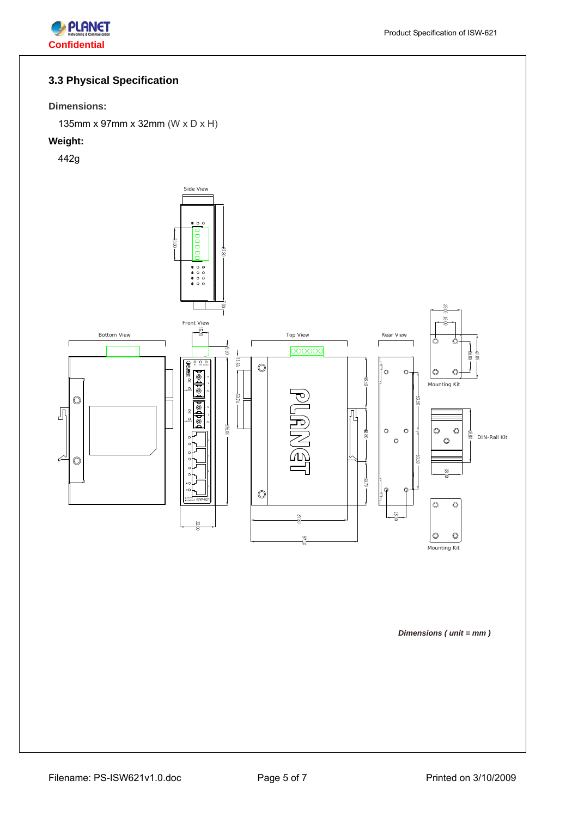

# **3.3 Physical Specification**

#### **Dimensions:**

135mm x 97mm x 32mm (W x D x H)

# **Weight:**

442g

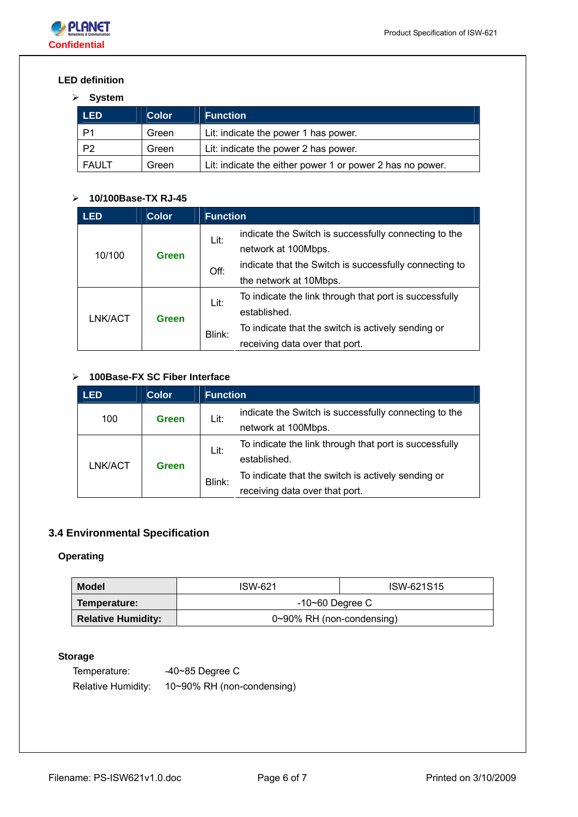

# **LED definition**

### ¾ **System**

| <b>LED</b>   | <b>Color</b> | <b>Function</b>                                           |
|--------------|--------------|-----------------------------------------------------------|
| P1           | Green        | Lit: indicate the power 1 has power.                      |
| P2           | Green        | Lit: indicate the power 2 has power.                      |
| <b>FAULT</b> | Green        | Lit: indicate the either power 1 or power 2 has no power. |

# ¾ **10/100Base-TX RJ-45**

| LED     | <b>Color</b> | <b>Function</b> |                                                        |  |
|---------|--------------|-----------------|--------------------------------------------------------|--|
| 10/100  |              | Lit:            | indicate the Switch is successfully connecting to the  |  |
|         | Green        |                 | network at 100Mbps.                                    |  |
|         |              | Off:            | indicate that the Switch is successfully connecting to |  |
|         |              |                 | the network at 10Mbps.                                 |  |
| LNK/ACT |              | Lit:            | To indicate the link through that port is successfully |  |
|         | Green        |                 | established.                                           |  |
|         |              | Blink:          | To indicate that the switch is actively sending or     |  |
|         |              |                 | receiving data over that port.                         |  |

### ¾ **100Base-FX SC Fiber Interface**

| <b>LED</b> | <b>Color</b> | <b>Function</b> |                                                        |
|------------|--------------|-----------------|--------------------------------------------------------|
| 100        | Green        | Lit:            | indicate the Switch is successfully connecting to the  |
|            |              |                 | network at 100Mbps.                                    |
| LNK/ACT    |              | Lit:            | To indicate the link through that port is successfully |
|            | Green        |                 | established.                                           |
|            |              | Blink:          | To indicate that the switch is actively sending or     |
|            |              |                 | receiving data over that port.                         |

# **3.4 Environmental Specification**

# **Operating**

| Model                     | <b>ISW-621</b>            | ISW-621S15 |  |
|---------------------------|---------------------------|------------|--|
| Temperature:              | $-10$ ~60 Degree C        |            |  |
| <b>Relative Humidity:</b> | 0~90% RH (non-condensing) |            |  |

### **Storage**

Temperature: -40~85 Degree C Relative Humidity: 10~90% RH (non-condensing)